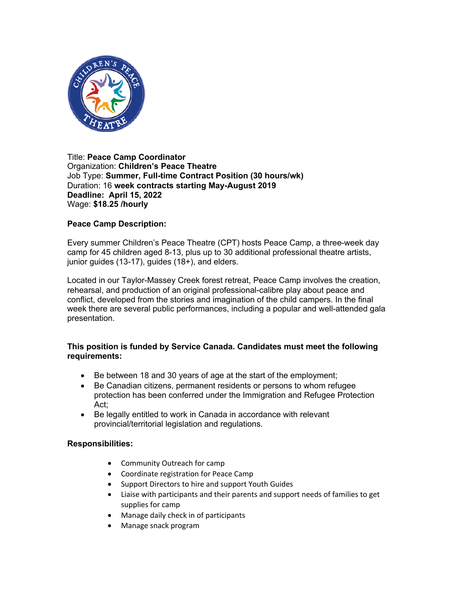

#### Title: **Peace Camp Coordinator** Organization: **Children's Peace Theatre** Job Type: **Summer, Full-time Contract Position (30 hours/wk)** Duration: 16 **week contracts starting May-August 2019 Deadline: April 15, 2022** Wage: **\$18.25 /hourly**

# **Peace Camp Description:**

Every summer Children's Peace Theatre (CPT) hosts Peace Camp, a three-week day camp for 45 children aged 8-13, plus up to 30 additional professional theatre artists, junior guides (13-17), guides (18+), and elders.

Located in our Taylor-Massey Creek forest retreat, Peace Camp involves the creation, rehearsal, and production of an original professional-calibre play about peace and conflict, developed from the stories and imagination of the child campers. In the final week there are several public performances, including a popular and well-attended gala presentation.

# **This position is funded by Service Canada. Candidates must meet the following requirements:**

- Be between 18 and 30 years of age at the start of the employment;
- Be Canadian citizens, permanent residents or persons to whom refugee protection has been conferred under the Immigration and Refugee Protection Act;
- Be legally entitled to work in Canada in accordance with relevant provincial/territorial legislation and regulations.

# **Responsibilities:**

- Community Outreach for camp
- Coordinate registration for Peace Camp
- Support Directors to hire and support Youth Guides
- Liaise with participants and their parents and support needs of families to get supplies for camp
- Manage daily check in of participants
- Manage snack program